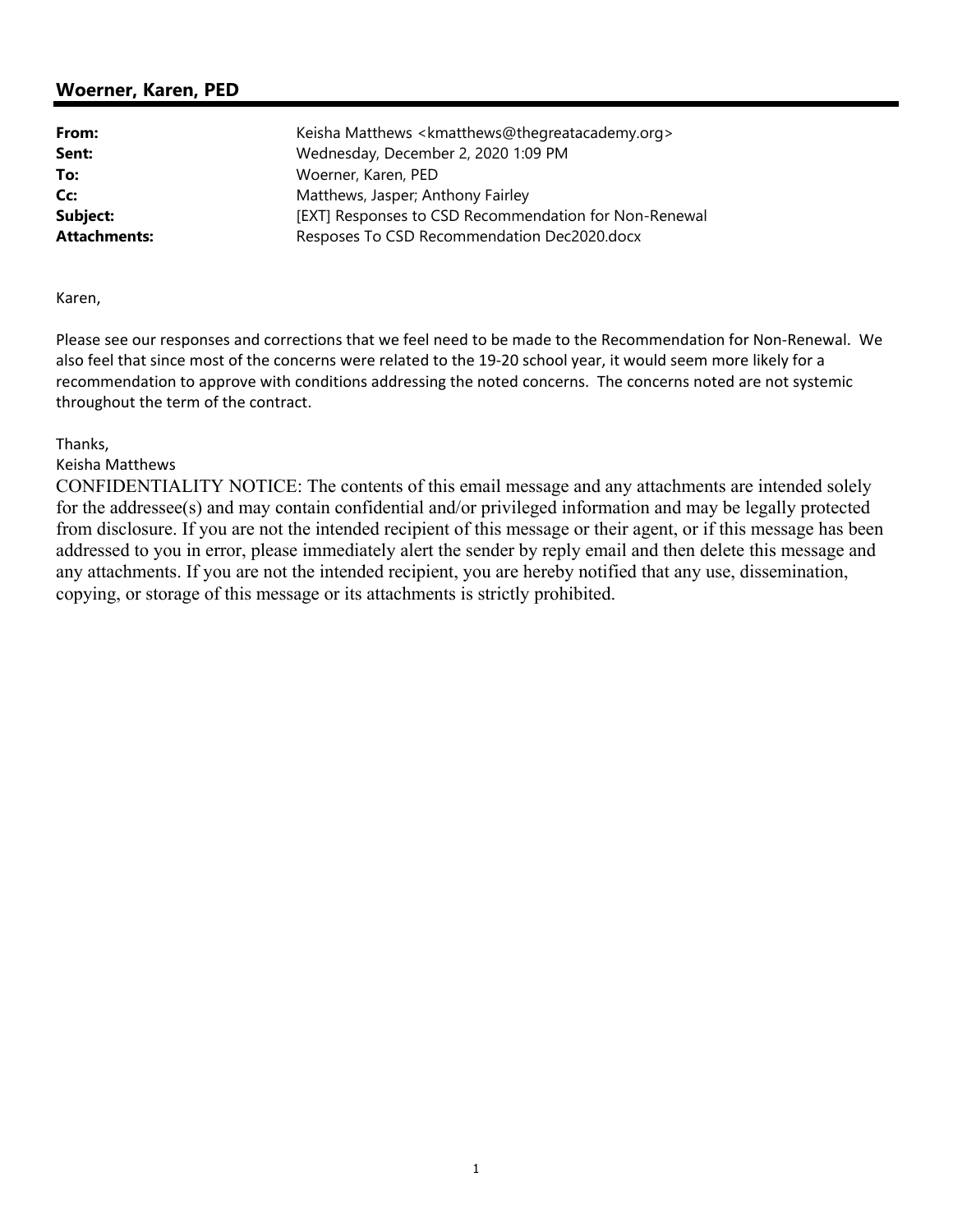# **Woerner, Karen, PED**

| From:               | Keisha Matthews <kmatthews@thegreatacademy.org></kmatthews@thegreatacademy.org> |
|---------------------|---------------------------------------------------------------------------------|
| Sent:               | Wednesday, December 2, 2020 1:09 PM                                             |
| To:                 | Woerner, Karen, PED                                                             |
| Cc:                 | Matthews, Jasper; Anthony Fairley                                               |
| Subject:            | [EXT] Responses to CSD Recommendation for Non-Renewal                           |
| <b>Attachments:</b> | Resposes To CSD Recommendation Dec2020.docx                                     |

Karen,

Please see our responses and corrections that we feel need to be made to the Recommendation for Non‐Renewal. We also feel that since most of the concerns were related to the 19-20 school year, it would seem more likely for a recommendation to approve with conditions addressing the noted concerns. The concerns noted are not systemic throughout the term of the contract.

Thanks,

Keisha Matthews

CONFIDENTIALITY NOTICE: The contents of this email message and any attachments are intended solely for the addressee(s) and may contain confidential and/or privileged information and may be legally protected from disclosure. If you are not the intended recipient of this message or their agent, or if this message has been addressed to you in error, please immediately alert the sender by reply email and then delete this message and any attachments. If you are not the intended recipient, you are hereby notified that any use, dissemination, copying, or storage of this message or its attachments is strictly prohibited.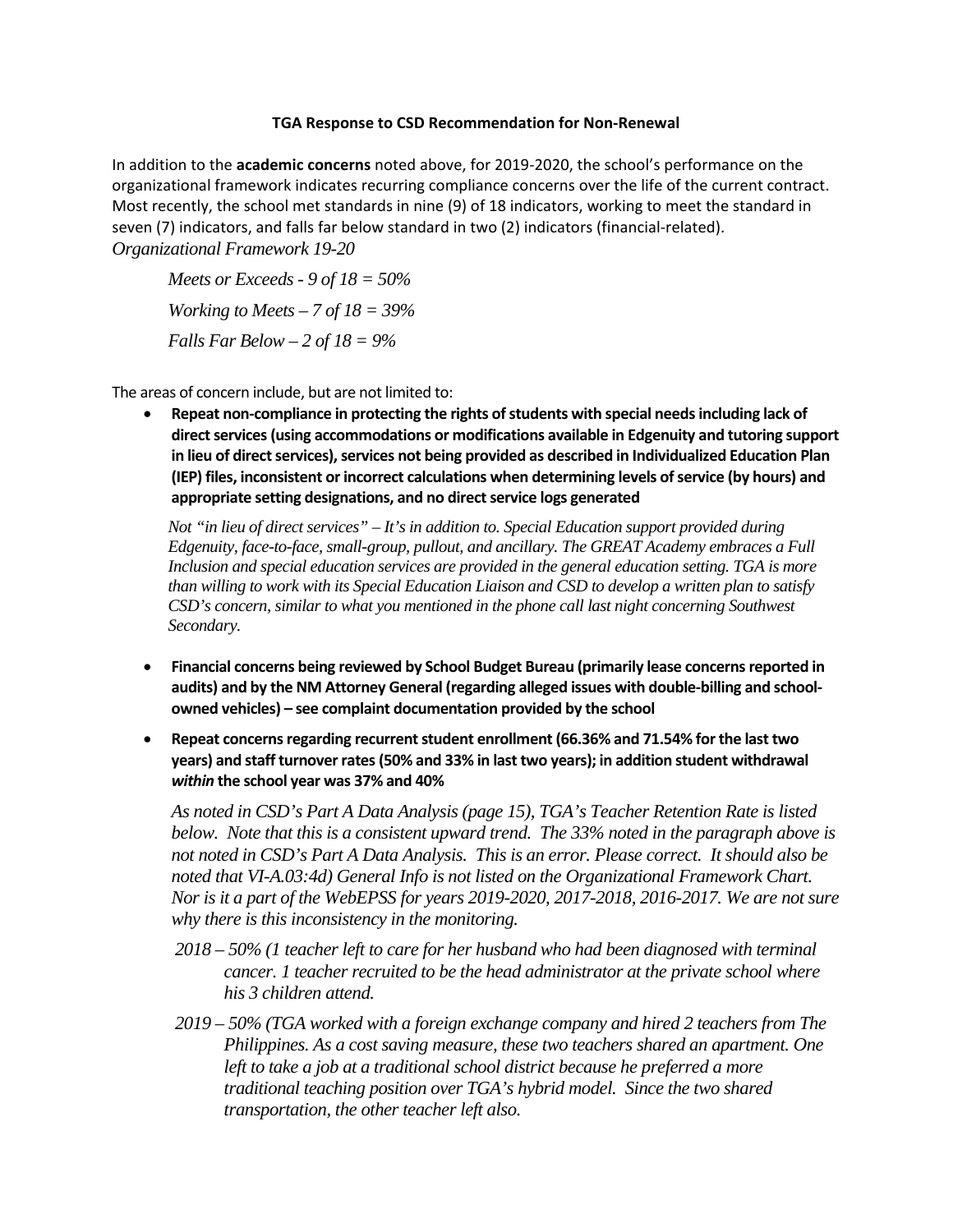## **TGA Response to CSD Recommendation for Non-Renewal**

In addition to the **academic concerns** noted above, for 2019-2020, the school's performance on the organizational framework indicates recurring compliance concerns over the life of the current contract. Most recently, the school met standards in nine (9) of 18 indicators, working to meet the standard in seven (7) indicators, and falls far below standard in two (2) indicators (financial-related). *Organizational Framework 19-20*

*Meets or Exceeds - 9 of 18 = 50% Working to Meets – 7 of 18 = 39% Falls Far Below – 2 of 18 = 9%* 

The areas of concern include, but are not limited to:

• **Repeat non-compliance in protecting the rights of students with special needs including lack of direct services (using accommodations or modifications available in Edgenuity and tutoring support in lieu of direct services), services not being provided as described in Individualized Education Plan (IEP) files, inconsistent or incorrect calculations when determining levels of service (by hours) and appropriate setting designations, and no direct service logs generated**

*Not "in lieu of direct services" – It's in addition to. Special Education support provided during Edgenuity, face-to-face, small-group, pullout, and ancillary. The GREAT Academy embraces a Full Inclusion and special education services are provided in the general education setting. TGA is more than willing to work with its Special Education Liaison and CSD to develop a written plan to satisfy CSD's concern, similar to what you mentioned in the phone call last night concerning Southwest Secondary.*

- **Financial concerns being reviewed by School Budget Bureau (primarily lease concerns reported in audits) and by the NM Attorney General (regarding alleged issues with double-billing and schoolowned vehicles) – see complaint documentation provided by the school**
- **Repeat concerns regarding recurrent student enrollment (66.36% and 71.54% for the last two years) and staff turnover rates (50% and 33% in last two years); in addition student withdrawal**  *within* **the school year was 37% and 40%**

*As noted in CSD's Part A Data Analysis (page 15), TGA's Teacher Retention Rate is listed below. Note that this is a consistent upward trend. The 33% noted in the paragraph above is not noted in CSD's Part A Data Analysis. This is an error. Please correct. It should also be noted that VI-A.03:4d) General Info is not listed on the Organizational Framework Chart. Nor is it a part of the WebEPSS for years 2019-2020, 2017-2018, 2016-2017. We are not sure why there is this inconsistency in the monitoring.*

- *2018 – 50% (1 teacher left to care for her husband who had been diagnosed with terminal cancer. 1 teacher recruited to be the head administrator at the private school where his 3 children attend.*
- *2019 – 50% (TGA worked with a foreign exchange company and hired 2 teachers from The Philippines. As a cost saving measure, these two teachers shared an apartment. One*  left to take a job at a traditional school district because he preferred a more *traditional teaching position over TGA's hybrid model. Since the two shared transportation, the other teacher left also.*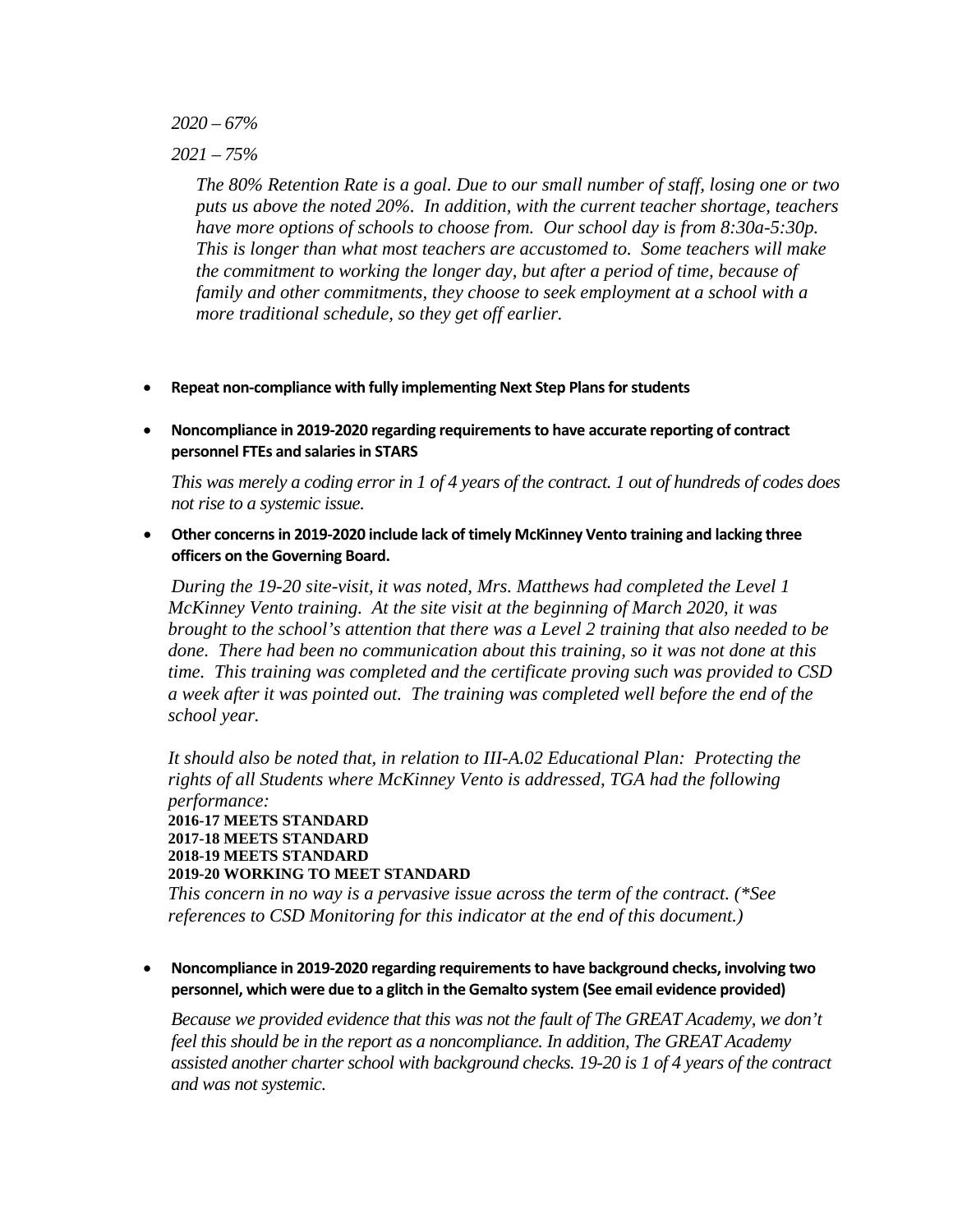*2020 – 67%*

*2021 – 75%*

*The 80% Retention Rate is a goal. Due to our small number of staff, losing one or two puts us above the noted 20%. In addition, with the current teacher shortage, teachers have more options of schools to choose from. Our school day is from 8:30a-5:30p. This is longer than what most teachers are accustomed to. Some teachers will make the commitment to working the longer day, but after a period of time, because of family and other commitments, they choose to seek employment at a school with a more traditional schedule, so they get off earlier.*

- **Repeat non-compliance with fully implementing Next Step Plans for students**
- **Noncompliance in 2019-2020 regarding requirements to have accurate reporting of contract personnel FTEs and salaries in STARS**

*This was merely a coding error in 1 of 4 years of the contract. 1 out of hundreds of codes does not rise to a systemic issue.* 

• **Other concerns in 2019-2020 include lack of timely McKinney Vento training and lacking three officers on the Governing Board.**

*During the 19-20 site-visit, it was noted, Mrs. Matthews had completed the Level 1 McKinney Vento training. At the site visit at the beginning of March 2020, it was brought to the school's attention that there was a Level 2 training that also needed to be done. There had been no communication about this training, so it was not done at this time. This training was completed and the certificate proving such was provided to CSD a week after it was pointed out. The training was completed well before the end of the school year.*

*It should also be noted that, in relation to III-A.02 Educational Plan: Protecting the rights of all Students where McKinney Vento is addressed, TGA had the following performance:* **2016-17 MEETS STANDARD 2017-18 MEETS STANDARD 2018-19 MEETS STANDARD 2019-20 WORKING TO MEET STANDARD**

*This concern in no way is a pervasive issue across the term of the contract. (\*See references to CSD Monitoring for this indicator at the end of this document.)* 

• **Noncompliance in 2019-2020 regarding requirements to have background checks, involving two personnel, which were due to a glitch in the Gemalto system (See email evidence provided)**

*Because we provided evidence that this was not the fault of The GREAT Academy, we don't feel this should be in the report as a noncompliance. In addition, The GREAT Academy assisted another charter school with background checks. 19-20 is 1 of 4 years of the contract and was not systemic.*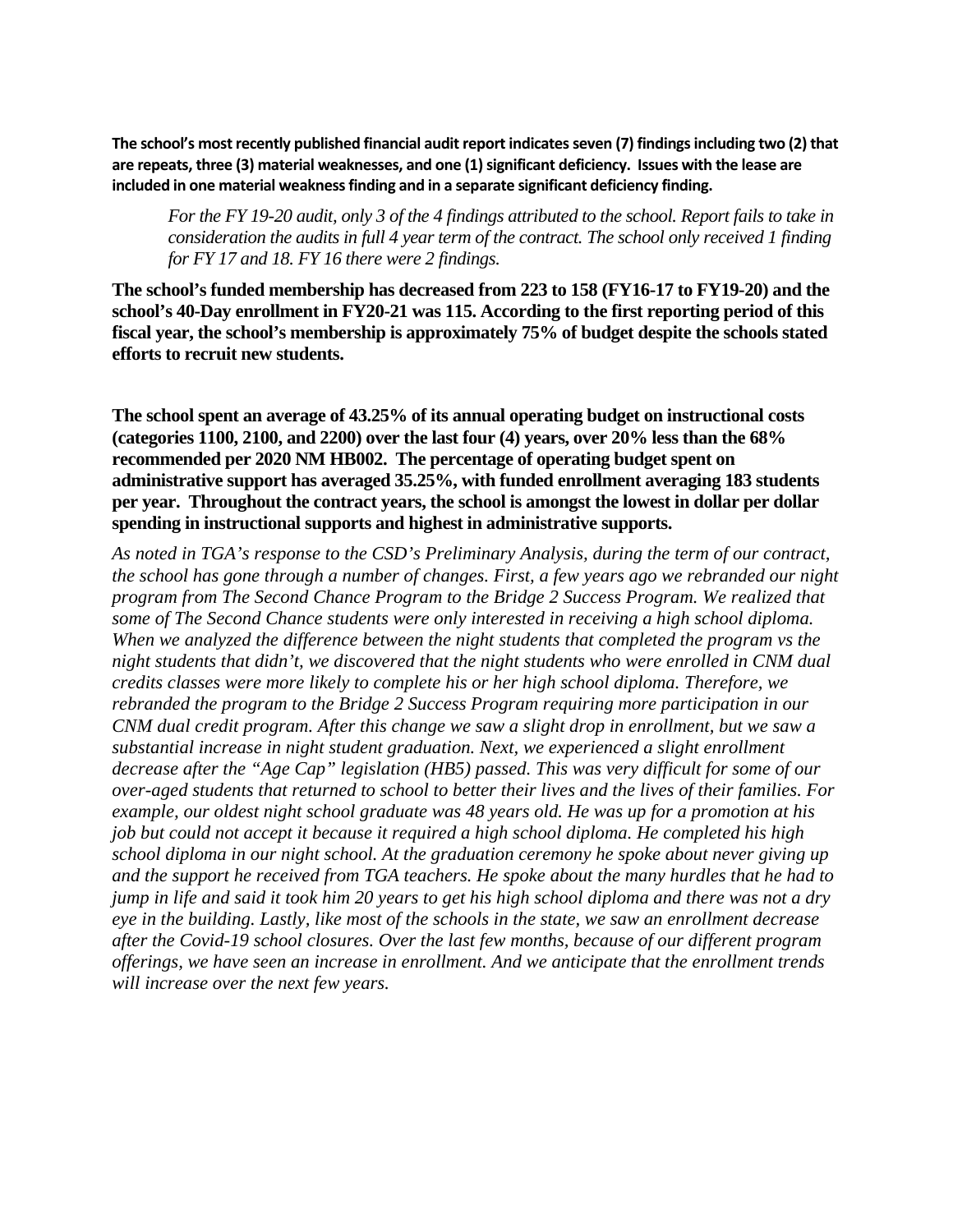**The school's most recently published financial audit report indicates seven (7) findings including two (2) that are repeats, three (3) material weaknesses, and one (1) significant deficiency. Issues with the lease are included in one material weakness finding and in a separate significant deficiency finding.** 

*For the FY 19-20 audit, only 3 of the 4 findings attributed to the school. Report fails to take in consideration the audits in full 4 year term of the contract. The school only received 1 finding for FY 17 and 18. FY 16 there were 2 findings.*

**The school's funded membership has decreased from 223 to 158 (FY16-17 to FY19-20) and the school's 40-Day enrollment in FY20-21 was 115. According to the first reporting period of this fiscal year, the school's membership is approximately 75% of budget despite the schools stated efforts to recruit new students.**

**The school spent an average of 43.25% of its annual operating budget on instructional costs (categories 1100, 2100, and 2200) over the last four (4) years, over 20% less than the 68% recommended per 2020 NM HB002. The percentage of operating budget spent on administrative support has averaged 35.25%, with funded enrollment averaging 183 students per year. Throughout the contract years, the school is amongst the lowest in dollar per dollar spending in instructional supports and highest in administrative supports.**

*As noted in TGA's response to the CSD's Preliminary Analysis, during the term of our contract, the school has gone through a number of changes. First, a few years ago we rebranded our night program from The Second Chance Program to the Bridge 2 Success Program. We realized that some of The Second Chance students were only interested in receiving a high school diploma. When we analyzed the difference between the night students that completed the program vs the night students that didn't, we discovered that the night students who were enrolled in CNM dual credits classes were more likely to complete his or her high school diploma. Therefore, we rebranded the program to the Bridge 2 Success Program requiring more participation in our CNM dual credit program. After this change we saw a slight drop in enrollment, but we saw a substantial increase in night student graduation. Next, we experienced a slight enrollment decrease after the "Age Cap" legislation (HB5) passed. This was very difficult for some of our over-aged students that returned to school to better their lives and the lives of their families. For example, our oldest night school graduate was 48 years old. He was up for a promotion at his job but could not accept it because it required a high school diploma. He completed his high school diploma in our night school. At the graduation ceremony he spoke about never giving up and the support he received from TGA teachers. He spoke about the many hurdles that he had to jump in life and said it took him 20 years to get his high school diploma and there was not a dry eye in the building. Lastly, like most of the schools in the state, we saw an enrollment decrease after the Covid-19 school closures. Over the last few months, because of our different program offerings, we have seen an increase in enrollment. And we anticipate that the enrollment trends will increase over the next few years.*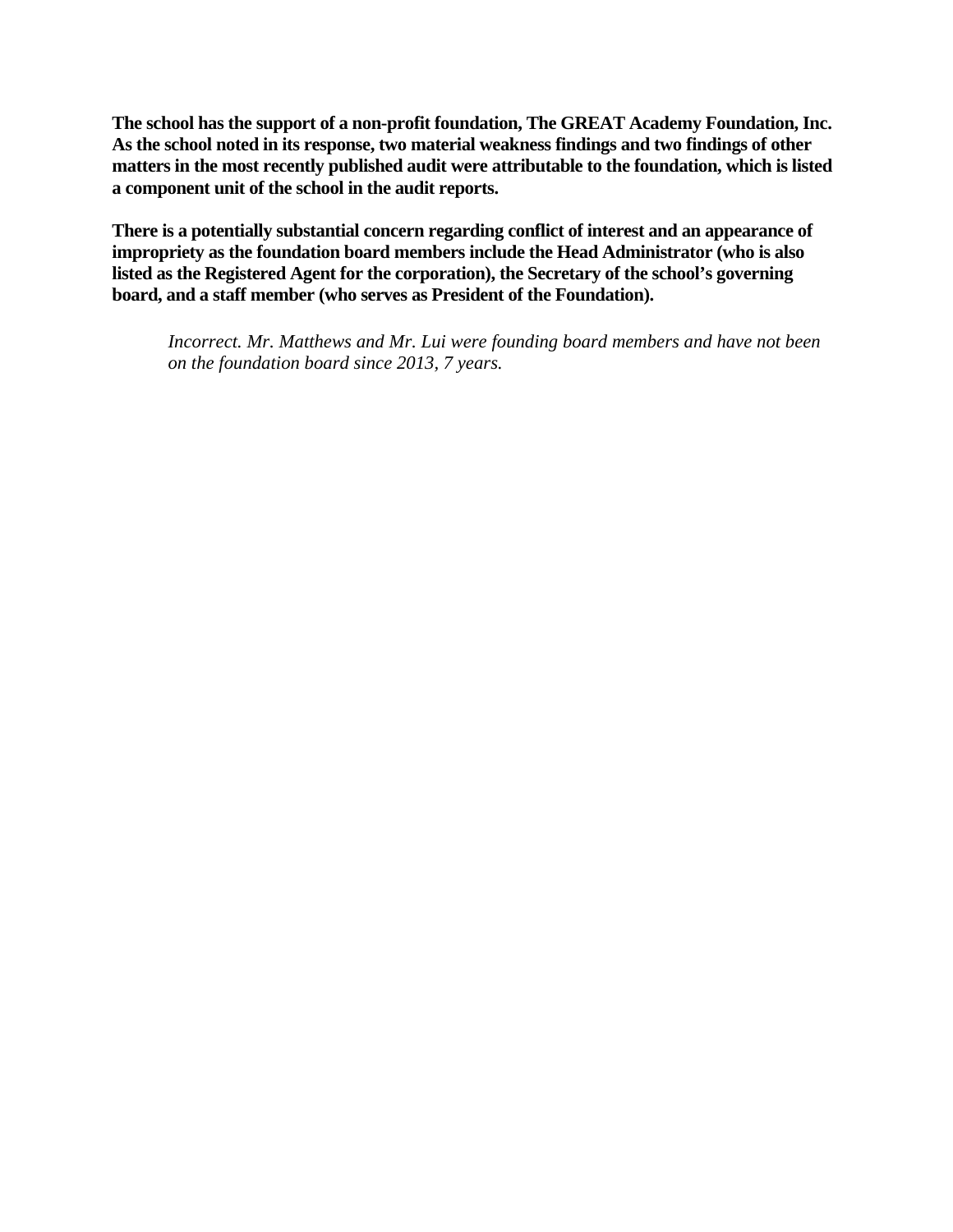**The school has the support of a non-profit foundation, The GREAT Academy Foundation, Inc. As the school noted in its response, two material weakness findings and two findings of other matters in the most recently published audit were attributable to the foundation, which is listed a component unit of the school in the audit reports.**

**There is a potentially substantial concern regarding conflict of interest and an appearance of impropriety as the foundation board members include the Head Administrator (who is also listed as the Registered Agent for the corporation), the Secretary of the school's governing board, and a staff member (who serves as President of the Foundation).**

*Incorrect. Mr. Matthews and Mr. Lui were founding board members and have not been on the foundation board since 2013, 7 years.*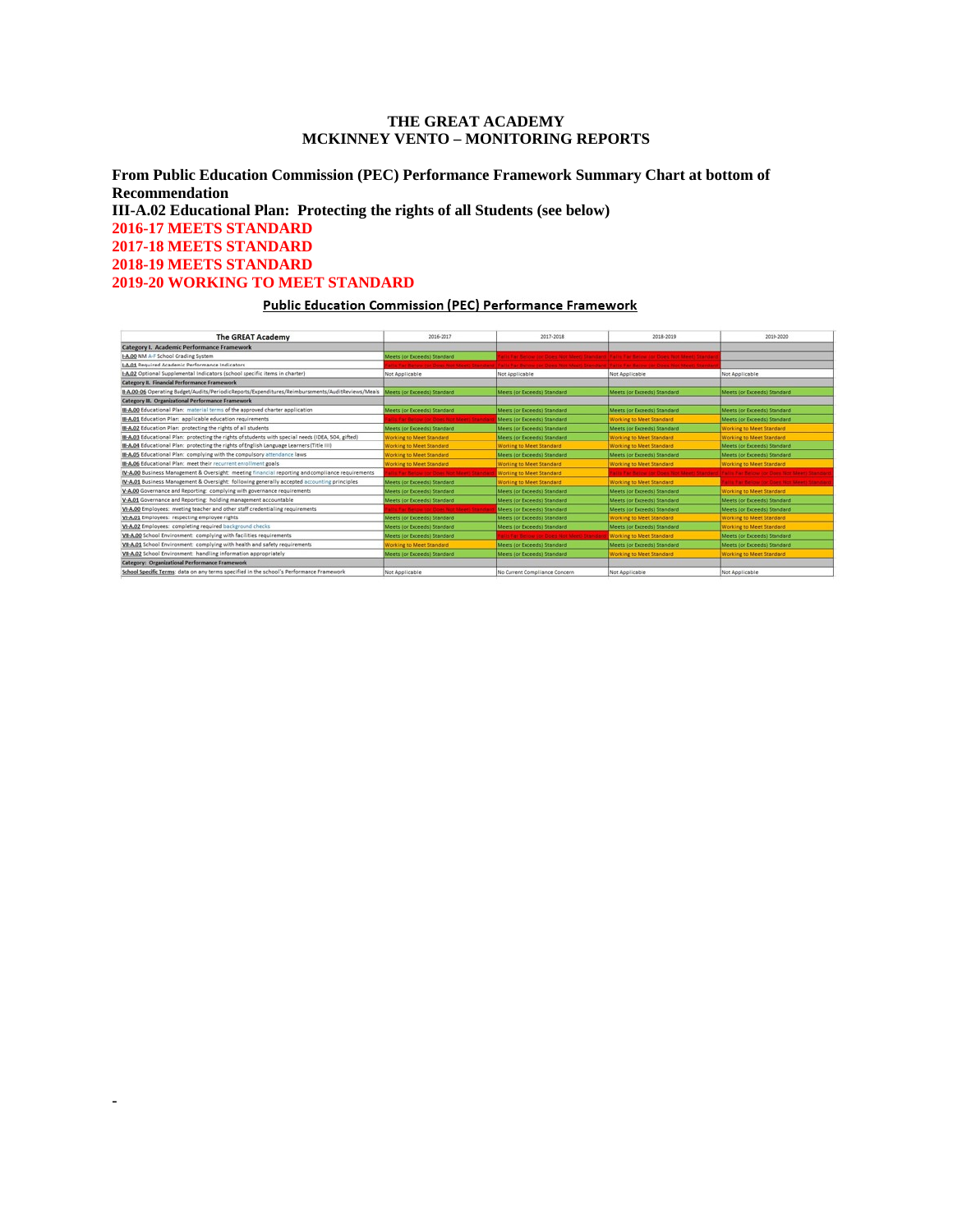### **THE GREAT ACADEMY MCKINNEY VENTO – MONITORING REPORTS**

**From Public Education Commission (PEC) Performance Framework Summary Chart at bottom of Recommendation III-A.02 Educational Plan: Protecting the rights of all Students (see below) 2016-17 MEETS STANDARD 2017-18 MEETS STANDARD 2018-19 MEETS STANDARD 2019-20 WORKING TO MEET STANDARD**

#### **Public Education Commission (PEC) Performance Framework**

| <b>The GREAT Academy</b>                                                                            | 2016-2017                                       | 2017-2018                                                                                                                             | 2018-2019                                                                             | 2019-2020                                 |
|-----------------------------------------------------------------------------------------------------|-------------------------------------------------|---------------------------------------------------------------------------------------------------------------------------------------|---------------------------------------------------------------------------------------|-------------------------------------------|
| Category I. Academic Performance Framework                                                          |                                                 |                                                                                                                                       |                                                                                       |                                           |
| I-A.00 NM A-F School Grading System                                                                 | Meets (or Exceeds) Standard                     |                                                                                                                                       | alls Far Below for Does Not Meeti Standard Palm Far Below for Does Not Meeti Standar  |                                           |
| I-A.01 Required Academic Performance Indicators                                                     |                                                 | (fix for Below for Does Not Meet) Standard   Fails Far Belme for Does Not Meet) Standard (Fails Far Below (or Does Not Meet) Standard |                                                                                       |                                           |
| 1-A.02 Optional Supplemental Indicators (school specific items in charter)                          | Not Applicable                                  | Not Applicable                                                                                                                        | Not Applicable                                                                        | Not Applicable                            |
| Category II. Financial Performance Framework                                                        |                                                 |                                                                                                                                       |                                                                                       |                                           |
| II-A.00-06 Operating Budget/Audits/PeriodicReports/Expenditures/Reimbursements/AuditReviews/Meals   | Meets (or Exceeds) Standard                     | Meets (or Exceeds) Standard                                                                                                           | Meets (or Exceeds) Standard                                                           | Meets (or Exceeds) Standard               |
| Category III. Organizational Performance Framework                                                  |                                                 |                                                                                                                                       |                                                                                       |                                           |
| III-A.00 Educational Plan: material terms of the approved charter application                       | Meets (or Exceeds) Standard                     | Meets (or Exceeds) Standard                                                                                                           | Meets (or Exceeds) Standard                                                           | Meets (or Exceeds) Standard               |
| III-A.01 Education Plan: applicable education requirements                                          | (Us Far Below for Does Not Meet) Stands         | Meets (or Exceeds) Standard                                                                                                           | Working to Meet Standard                                                              | Meets (or Exceeds) Standard               |
| III-A.02 Education Plan: protecting the rights of all students                                      | Meets (or Exceeds) Standard                     | Meets (or Exceeds) Standard                                                                                                           | Meets (or Exceeds) Standard                                                           | Working to Meet Standard                  |
| III-A.03 Educational Plan: protecting the rights of students with special needs (IDEA, 504, gifted) | Working to Meet Standard                        | Meets (or Exceeds) Standard                                                                                                           | Working to Meet Standard                                                              | Working to Meet Standard                  |
| <b>III-A.04</b> Educational Plan: protecting the rights of English Language Learners (Title III)    | <b>Working to Meet Standard</b>                 | Working to Meet Standard                                                                                                              | Working to Meet Standard                                                              | Meets (or Exceeds) Standard               |
| III-A.05 Educational Plan: complying with the compulsory attendance laws                            | <b>Working to Meet Standard</b>                 | Meets (or Exceeds) Standard                                                                                                           | Meets (or Exceeds) Standard                                                           | Meets (or Exceeds) Standard               |
| III-A,06 Educational Plan: meet their recurrent enrollment goals                                    | <b>Working to Meet Standard</b>                 | Working to Meet Standard                                                                                                              | Working to Meet Standard                                                              | Working to Meet Standard                  |
| IV-A.00 Business Management & Oversight: meeting financial reporting and compliance requirements    | <b>Ris Far Below ror Does Not Meet; Standar</b> | Working to Meet Standard                                                                                                              | alls Far Beiger in: Does Not Meet: Standard (Falls Far Beigw for Does Not Meet) Stand |                                           |
| IV-A.01 Business Management & Oversight: following generally accepted accounting principles         | Meets (or Exceeds) Standard                     | Working to Meet Standard                                                                                                              | Working to Meet Standard                                                              | allis far Below (or Does Not Meet) Stands |
| V-A.00 Governance and Reporting: complying with governance requirements                             | Meets (or Exceeds) Standard                     | Meets (or Exceeds) Standard                                                                                                           | Meets (or Exceeds) Standard                                                           | Working to Meet Standard                  |
| V-A.01 Governance and Reporting: holding management accountable                                     | Meets (or Exceeds) Standard                     | Meets (or Exceeds) Standard                                                                                                           | Meets (or Exceeds) Standard                                                           | Meets (or Exceeds) Standard               |
| VI-A.00 Employees: meeting teacher and other staff credentialing requirements                       | <b>UILFar Below for Does Not Meeti Standa</b>   | Meets (or Exceeds) Standard                                                                                                           | Meets (or Exceeds) Standard                                                           | Meets (or Exceeds) Standard               |
| VI-A.01 Employees: respecting employee rights                                                       | Meets (or Exceeds) Standard                     | Meets (or Exceeds) Standard                                                                                                           | Working to Meet Standard                                                              | Working to Meet Standard                  |
| VI-A.02 Employees: completing required background checks                                            | Meets (or Exceeds) Standard                     | Meets (or Exceeds) Standard                                                                                                           | Meets (or Exceeds) Standard                                                           | Working to Meet Standard                  |
| VII-A.00 School Environment: complying with facilities requirements                                 | Meets (or Exceeds) Standard                     | alls Fall Below for Does Not Meeti Stands                                                                                             | Working to Meet Standard                                                              | Meets (or Exceeds) Standard               |
| VII-A.01 School Environment: complying with health and safety requirements                          | Working to Meet Standard                        | Meets (or Exceeds) Standard                                                                                                           | Meets (or Exceeds) Standard                                                           | Meets (or Exceeds) Standard               |
| VII-A.02 School Environment: handling information appropriately                                     | Meets (or Exceeds) Standard                     | Meets (or Exceeds) Standard                                                                                                           | Working to Meet Standard                                                              | Working to Meet Standard                  |
| Category: Organizational Performance Framework                                                      |                                                 |                                                                                                                                       |                                                                                       |                                           |
| School Specific Terms: data on any terms specified in the school's Performance Framework            | Not Applicable                                  | No Current Compliance Concern                                                                                                         | Not Applicable                                                                        | Not Applicable                            |

**-**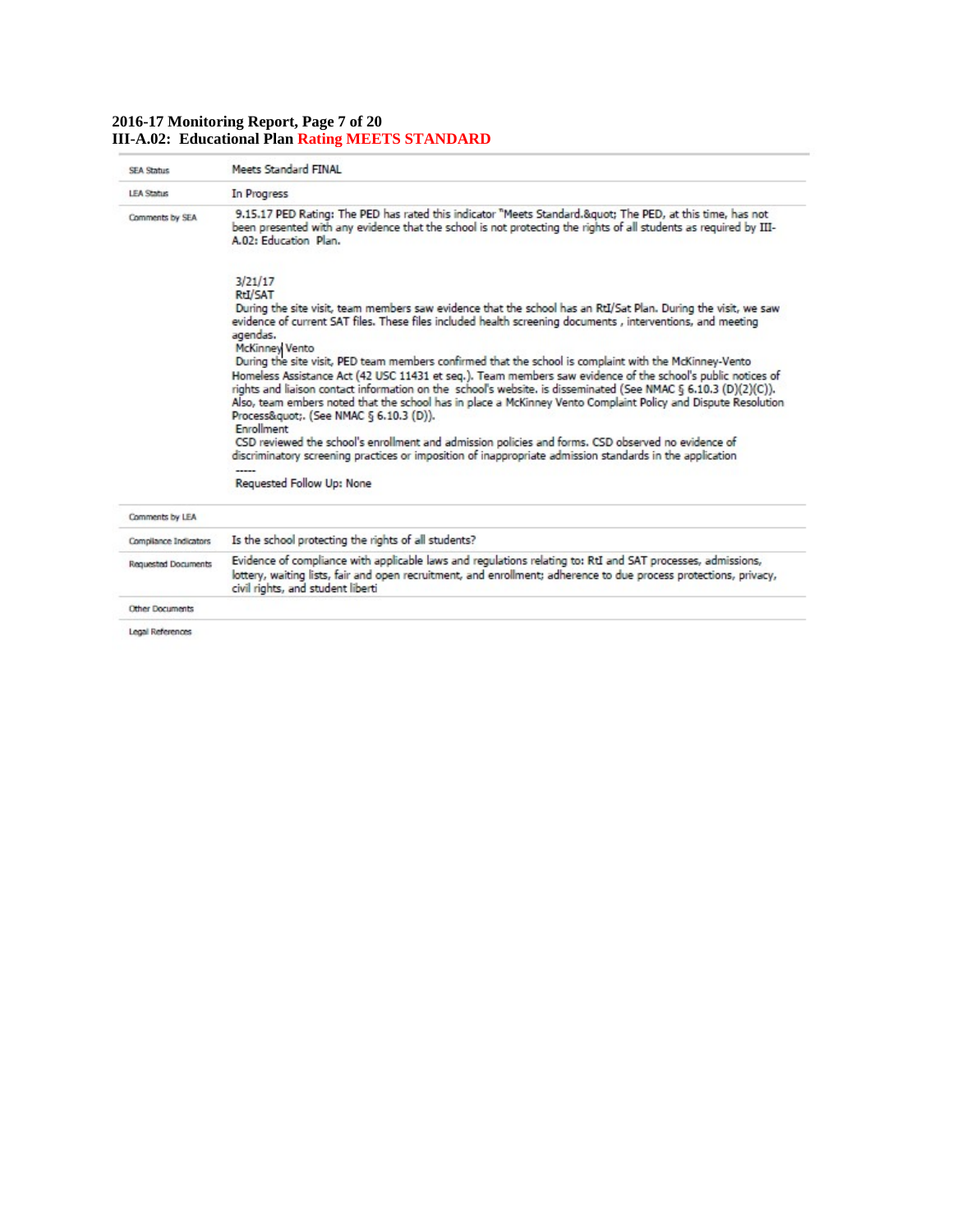# **2016-17 Monitoring Report, Page 7 of 20 III-A.02: Educational Plan Rating MEETS STANDARD**

| <b>SEA Status</b>          | Meets Standard FINAL                                                                                                                                                                                                                                                                                                                                                                                                                                                                                                    |
|----------------------------|-------------------------------------------------------------------------------------------------------------------------------------------------------------------------------------------------------------------------------------------------------------------------------------------------------------------------------------------------------------------------------------------------------------------------------------------------------------------------------------------------------------------------|
| <b>LEA Status</b>          | In Progress                                                                                                                                                                                                                                                                                                                                                                                                                                                                                                             |
| Comments by SEA            | 9.15.17 PED Rating: The PED has rated this indicator "Meets Standard." The PED, at this time, has not<br>been presented with any evidence that the school is not protecting the rights of all students as required by III-<br>A.02: Education, Plan.                                                                                                                                                                                                                                                                    |
|                            | 3/21/17<br>RtI/SAT                                                                                                                                                                                                                                                                                                                                                                                                                                                                                                      |
|                            | During the site visit, team members saw evidence that the school has an RtI/Sat Plan. During the visit, we saw<br>evidence of current SAT files. These files included health screening documents, interventions, and meeting<br>agendas.<br><b>McKinney Vento</b>                                                                                                                                                                                                                                                       |
|                            | During the site visit, PED team members confirmed that the school is complaint with the McKinney-Vento<br>Homeless Assistance Act (42 USC 11431 et seg.). Team members saw evidence of the school's public notices of<br>rights and liaison contact information on the school's website, is disseminated (See NMAC § 6.10.3 (D)(2)(C)).<br>Also, team embers noted that the school has in place a McKinney Vento Complaint Policy and Dispute Resolution<br>Process&guot. (See NMAC § 6.10.3 (D)).<br><b>Enrollment</b> |
|                            | CSD reviewed the school's enrollment and admission policies and forms. CSD observed no evidence of<br>discriminatory screening practices or imposition of inappropriate admission standards in the application                                                                                                                                                                                                                                                                                                          |
|                            | <b>Requested Follow Up: None</b>                                                                                                                                                                                                                                                                                                                                                                                                                                                                                        |
| Comments by LEA            |                                                                                                                                                                                                                                                                                                                                                                                                                                                                                                                         |
| Compilance Indicators      | Is the school protecting the rights of all students?                                                                                                                                                                                                                                                                                                                                                                                                                                                                    |
| <b>Requested Documents</b> | Evidence of compliance with applicable laws and regulations relating to: RtI and SAT processes, admissions,<br>lottery, waiting lists, fair and open recruitment, and enrollment; adherence to due process protections, privacy,<br>civil rights, and student liberti                                                                                                                                                                                                                                                   |
| Other Documents            |                                                                                                                                                                                                                                                                                                                                                                                                                                                                                                                         |
| Legal References           |                                                                                                                                                                                                                                                                                                                                                                                                                                                                                                                         |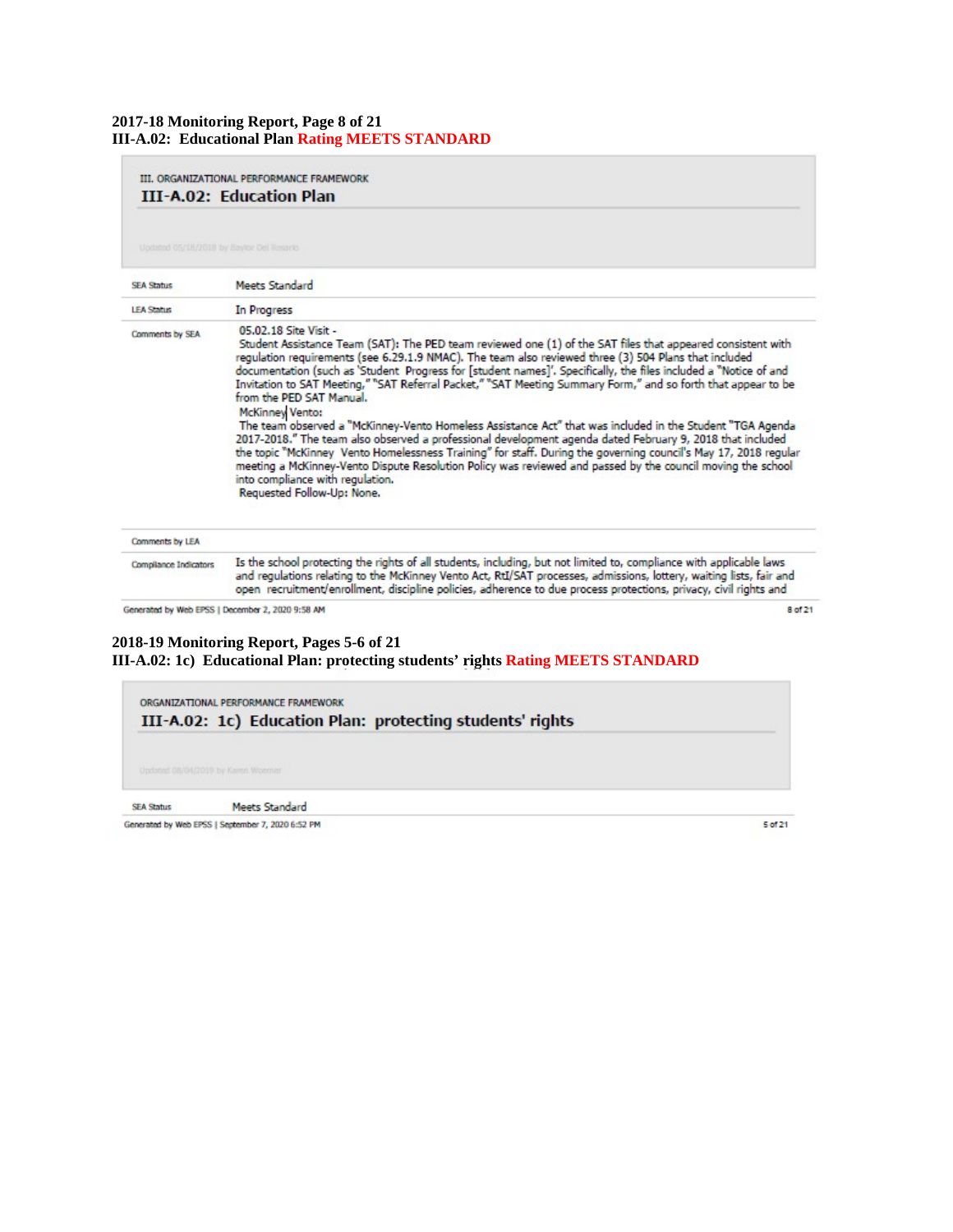# **2017-18 Monitoring Report, Page 8 of 21 III-A.02: Educational Plan Rating MEETS STANDARD**

| III. ORGANIZATIONAL PERFORMANCE FRAMEWORK<br><b>III-A.02: Education Plan</b> |                                                                                                                                                                                                                                                                                                                                                                                                                                                                                                                                                                                                                                                                                                                                                                                                                                                                                                                                                                                                                                                                        |  |
|------------------------------------------------------------------------------|------------------------------------------------------------------------------------------------------------------------------------------------------------------------------------------------------------------------------------------------------------------------------------------------------------------------------------------------------------------------------------------------------------------------------------------------------------------------------------------------------------------------------------------------------------------------------------------------------------------------------------------------------------------------------------------------------------------------------------------------------------------------------------------------------------------------------------------------------------------------------------------------------------------------------------------------------------------------------------------------------------------------------------------------------------------------|--|
| Updated 05/18/2018 by Baylor Del Roserio                                     |                                                                                                                                                                                                                                                                                                                                                                                                                                                                                                                                                                                                                                                                                                                                                                                                                                                                                                                                                                                                                                                                        |  |
| <b>SEA Status</b>                                                            | Meets Standard                                                                                                                                                                                                                                                                                                                                                                                                                                                                                                                                                                                                                                                                                                                                                                                                                                                                                                                                                                                                                                                         |  |
| <b>LEA Status</b>                                                            | In Progress                                                                                                                                                                                                                                                                                                                                                                                                                                                                                                                                                                                                                                                                                                                                                                                                                                                                                                                                                                                                                                                            |  |
| Comments by SEA                                                              | 05.02.18 Site Visit -<br>Student Assistance Team (SAT): The PED team reviewed one (1) of the SAT files that appeared consistent with<br>regulation requirements (see 6.29.1.9 NMAC). The team also reviewed three (3) 504 Plans that included<br>documentation (such as 'Student Progress for [student names]'. Specifically, the files included a "Notice of and<br>Invitation to SAT Meeting," "SAT Referral Packet," "SAT Meeting Summary Form," and so forth that appear to be<br>from the PED SAT Manual.<br><b>McKinney Vento:</b><br>The team observed a "McKinney-Vento Homeless Assistance Act" that was included in the Student "TGA Agenda<br>2017-2018." The team also observed a professional development agenda dated February 9, 2018 that included<br>the topic "McKinney Vento Homelessness Training" for staff. During the governing council's May 17, 2018 regular<br>meeting a McKinney-Vento Dispute Resolution Policy was reviewed and passed by the council moving the school<br>into compliance with regulation.<br>Requested Follow-Up: None. |  |
| Comments by LEA                                                              |                                                                                                                                                                                                                                                                                                                                                                                                                                                                                                                                                                                                                                                                                                                                                                                                                                                                                                                                                                                                                                                                        |  |
| Compilance Indicators                                                        | Is the school protecting the rights of all students, including, but not limited to, compliance with applicable laws<br>and regulations relating to the McKinney Vento Act, RtI/SAT processes, admissions, lottery, waiting lists, fair and<br>open recruitment/enrollment, discipline policies, adherence to due process protections, privacy, civil rights and                                                                                                                                                                                                                                                                                                                                                                                                                                                                                                                                                                                                                                                                                                        |  |

Generated by Web EPSS | December 2, 2020 9:58 AM

#### **2018-19 Monitoring Report, Pages 5-6 of 21 III-A.02: 1c) Educational Plan: protecting students' rights Rating MEETS STANDARD**



Generated by Web EPSS | September 7, 2020 6:52 PM

5 of 21

8 of 21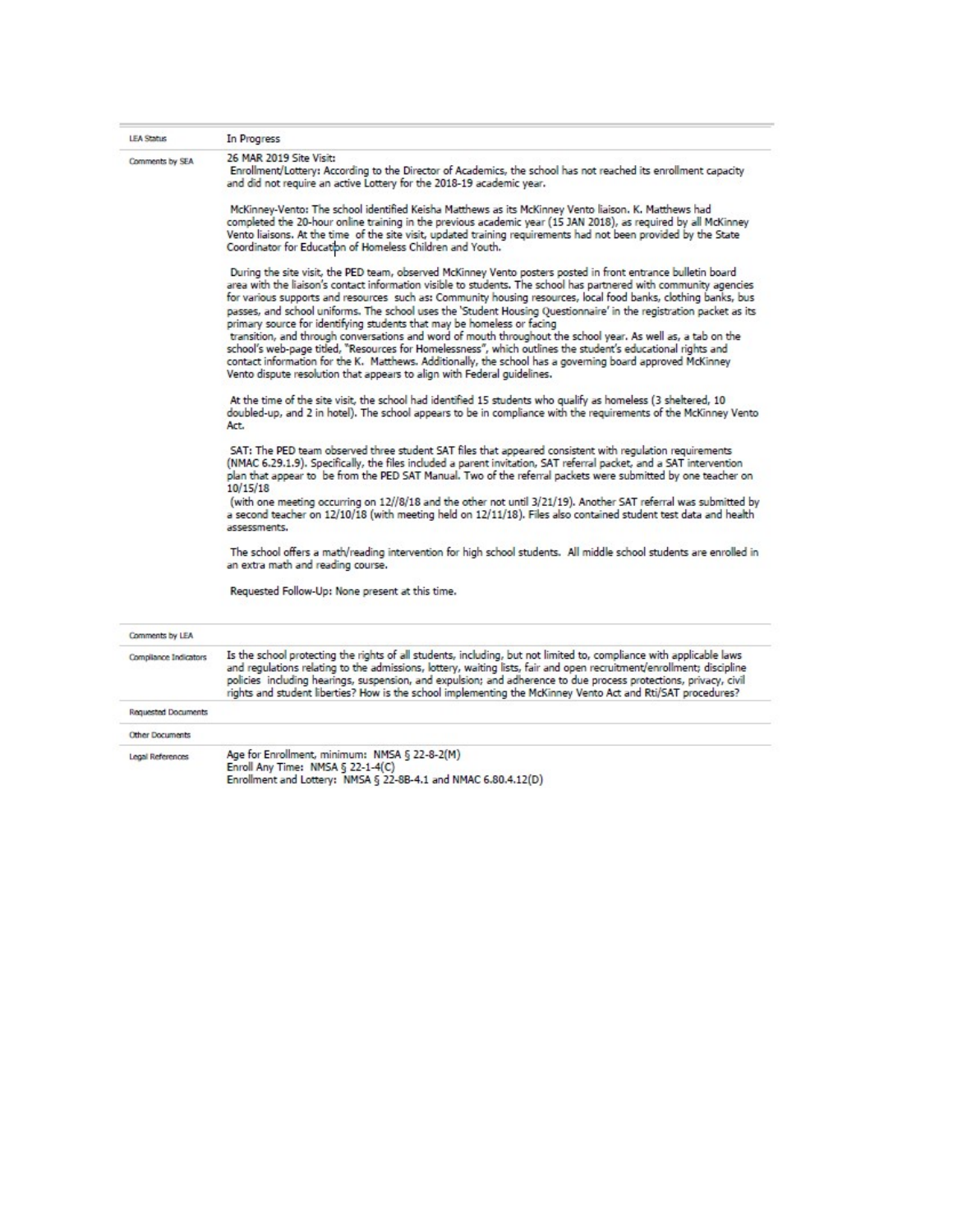| <b>LEA Status</b>          | In Progress                                                                                                                                                                                                                                                                                                                                                                                                                                                                                                                                         |
|----------------------------|-----------------------------------------------------------------------------------------------------------------------------------------------------------------------------------------------------------------------------------------------------------------------------------------------------------------------------------------------------------------------------------------------------------------------------------------------------------------------------------------------------------------------------------------------------|
| Comments by SEA            | 26 MAR 2019 Site Visit:<br>Enrollment/Lottery: According to the Director of Academics, the school has not reached its enrollment capacity<br>and did not require an active Lottery for the 2018-19 academic year.                                                                                                                                                                                                                                                                                                                                   |
|                            |                                                                                                                                                                                                                                                                                                                                                                                                                                                                                                                                                     |
|                            | McKinney-Vento: The school identified Keisha Matthews as its McKinney Vento liaison. K. Matthews had<br>completed the 20-hour online training in the previous academic year (15 JAN 2018), as reguired by all McKinney<br>Vento liaisons. At the time of the site visit, updated training requirements had not been provided by the State<br>Coordinator for Education of Homeless Children and Youth.                                                                                                                                              |
|                            | During the site visit, the PED team, observed McKinney Vento posters posted in front entrance bulletin board<br>area with the liaison's contact information visible to students. The school has partnered with community agencies<br>for various supports and resources such as: Community housing resources, local food banks, clothing banks, bus<br>passes, and school uniforms. The school uses the 'Student Housing Questionnaire' in the registration packet as its<br>primary source for identifying students that may be homeless or facing |
|                            | transition, and through conversations and word of mouth throughout the school year. As well as, a tab on the<br>school's web-page titled, "Resources for Homelessness", which outlines the student's educational rights and<br>contact information for the K. Matthews. Additionally, the school has a governing board approved McKinney<br>Vento dispute resolution that appears to align with Federal guidelines.                                                                                                                                 |
|                            | At the time of the site visit, the school had identified 15 students who qualify as homeless (3 sheltered, 10<br>doubled-up, and 2 in hotel). The school appears to be in compliance with the requirements of the McKinney Vento<br>Act.                                                                                                                                                                                                                                                                                                            |
|                            | SAT: The PED team observed three student SAT files that appeared consistent with regulation requirements<br>(NMAC 6.29.1.9). Specifically, the files included a parent invitation, SAT referral packet, and a SAT intervention<br>plan that appear to be from the PED SAT Manual. Two of the referral packets were submitted by one teacher on<br>10/15/18                                                                                                                                                                                          |
|                            | (with one meeting occurring on 12//8/18 and the other not until 3/21/19). Another SAT referral was submitted by<br>a second teacher on 12/10/18 (with meeting held on 12/11/18). Files also contained student test data and health<br>assessments.                                                                                                                                                                                                                                                                                                  |
|                            | The school offers a math/reading intervention for high school students. All middle school students are enrolled in<br>an extra math and reading course.                                                                                                                                                                                                                                                                                                                                                                                             |
|                            | Requested Follow-Up: None present at this time.                                                                                                                                                                                                                                                                                                                                                                                                                                                                                                     |
| Comments by LEA            |                                                                                                                                                                                                                                                                                                                                                                                                                                                                                                                                                     |
| Compilance Indicators      | Is the school protecting the rights of all students, including, but not limited to, compliance with applicable laws<br>and regulations relating to the admissions, lottery, waiting lists, fair and open recruitment/enrollment; discipline<br>policies including hearings, suspension, and expulsion; and adherence to due process protections, privacy, civil<br>rights and student liberties? How is the school implementing the McKinney Vento Act and Rti/SAT procedures?                                                                      |
| <b>Requested Documents</b> |                                                                                                                                                                                                                                                                                                                                                                                                                                                                                                                                                     |
| Other Documents            |                                                                                                                                                                                                                                                                                                                                                                                                                                                                                                                                                     |
| Legal References           | Age for Enrollment, minimum: NMSA § 22-8-2(M)<br>Enroll Any Time: NMSA & 22-1-4(C)                                                                                                                                                                                                                                                                                                                                                                                                                                                                  |

Enroll Any Time: NMSA § 22-1-4(C)<br>Enrollment and Lottery: NMSA § 22-8B-4.1 and NMAC 6.80.4.12(D)